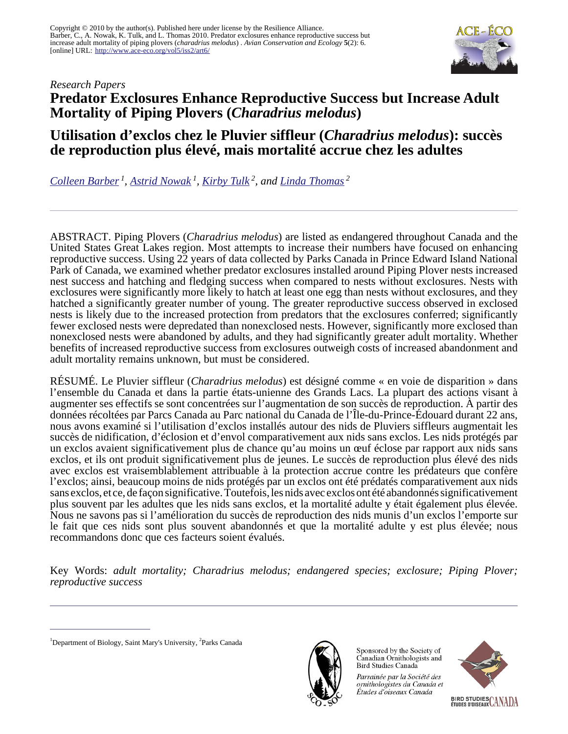

# *Research Papers* **Predator Exclosures Enhance Reproductive Success but Increase Adult Mortality of Piping Plovers (***Charadrius melodus***)**

# **Utilisation d'exclos chez le Pluvier siffleur (***Charadrius melodus***): succès de reproduction plus élevé, mais mortalité accrue chez les adultes**

*[Colleen Barber](mailto:colleen.barber@smu.ca)<sup>1</sup> , [Astrid Nowak](mailto:astridnowak@hotmail.com)<sup>1</sup> , [Kirby Tulk](mailto:kirby.tulk@pc.gc.ca)<sup>2</sup>, and [Linda Thomas](mailto:Linda.Thomas@pc.gc.ca)<sup>2</sup>*

ABSTRACT. Piping Plovers (*Charadrius melodus*) are listed as endangered throughout Canada and the United States Great Lakes region. Most attempts to increase their numbers have focused on enhancing reproductive success. Using 22 years of data collected by Parks Canada in Prince Edward Island National Park of Canada, we examined whether predator exclosures installed around Piping Plover nests increased nest success and hatching and fledging success when compared to nests without exclosures. Nests with exclosures were significantly more likely to hatch at least one egg than nests without exclosures, and they hatched a significantly greater number of young. The greater reproductive success observed in exclosed nests is likely due to the increased protection from predators that the exclosures conferred; significantly fewer exclosed nests were depredated than nonexclosed nests. However, significantly more exclosed than nonexclosed nests were abandoned by adults, and they had significantly greater adult mortality. Whether benefits of increased reproductive success from exclosures outweigh costs of increased abandonment and adult mortality remains unknown, but must be considered.

RÉSUMÉ. Le Pluvier siffleur (*Charadrius melodus*) est désigné comme « en voie de disparition » dans l'ensemble du Canada et dans la partie états-unienne des Grands Lacs. La plupart des actions visant à augmenter ses effectifs se sont concentrées sur l'augmentation de son succès de reproduction. À partir des données récoltées par Parcs Canada au Parc national du Canada de l'Île-du-Prince-Édouard durant 22 ans, nous avons examiné si l'utilisation d'exclos installés autour des nids de Pluviers siffleurs augmentait les succès de nidification, d'éclosion et d'envol comparativement aux nids sans exclos. Les nids protégés par un exclos avaient significativement plus de chance qu'au moins un œuf éclose par rapport aux nids sans exclos, et ils ont produit significativement plus de jeunes. Le succès de reproduction plus élevé des nids avec exclos est vraisemblablement attribuable à la protection accrue contre les prédateurs que confère l'exclos; ainsi, beaucoup moins de nids protégés par un exclos ont été prédatés comparativement aux nids sans exclos, et ce, de façon significative. Toutefois, les nids avec exclos ont été abandonnés significativement plus souvent par les adultes que les nids sans exclos, et la mortalité adulte y était également plus élevée. Nous ne savons pas si l'amélioration du succès de reproduction des nids munis d'un exclos l'emporte sur le fait que ces nids sont plus souvent abandonnés et que la mortalité adulte y est plus élevée; nous recommandons donc que ces facteurs soient évalués.

Key Words: *adult mortality; Charadrius melodus; endangered species; exclosure; Piping Plover; reproductive success* 



Sponsored by the Society of Canadian Ornithologists and Bird Studies Canada

Parrainée par la Société des ornithologistes du Canada et Études d'oiseaux Canada



<sup>&</sup>lt;sup>1</sup>Department of Biology, Saint Mary's University, <sup>2</sup>Parks Canada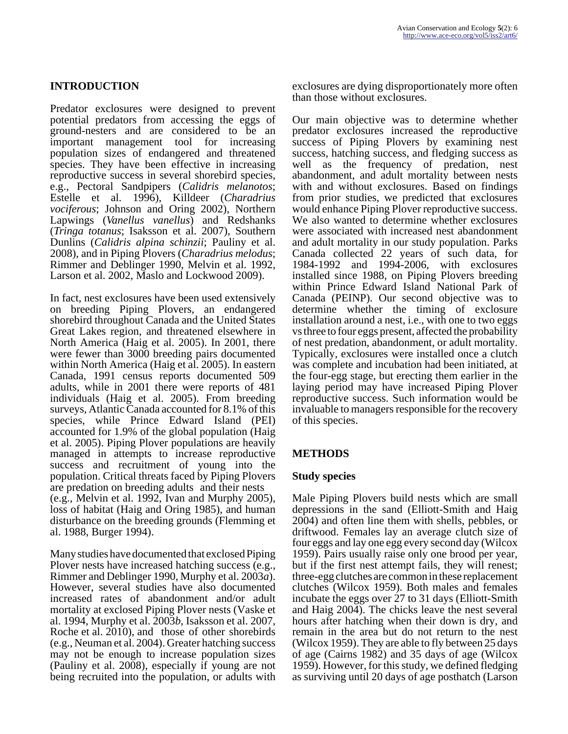# **INTRODUCTION**

Predator exclosures were designed to prevent potential predators from accessing the eggs of ground-nesters and are considered to be an important management tool for increasing population sizes of endangered and threatened species. They have been effective in increasing reproductive success in several shorebird species, e.g., Pectoral Sandpipers (*Calidris melanotos*; Estelle et al. 1996), Killdeer (*Charadrius vociferous*; Johnson and Oring 2002), Northern Lapwings (*Vanellus vanellus*) and Redshanks (*Tringa totanus*; Isaksson et al. 2007), Southern Dunlins (*Calidris alpina schinzii*; Pauliny et al. 2008), and in Piping Plovers (*Charadrius melodus*; Rimmer and Deblinger 1990, Melvin et al. 1992, Larson et al. 2002, Maslo and Lockwood 2009).

In fact, nest exclosures have been used extensively on breeding Piping Plovers, an endangered shorebird throughout Canada and the United States Great Lakes region, and threatened elsewhere in North America (Haig et al. 2005). In 2001, there were fewer than 3000 breeding pairs documented within North America (Haig et al. 2005). In eastern Canada, 1991 census reports documented 509 adults, while in 2001 there were reports of 481 individuals (Haig et al. 2005). From breeding surveys, Atlantic Canada accounted for 8.1% of this species, while Prince Edward Island (PEI) accounted for 1.9% of the global population (Haig et al. 2005). Piping Plover populations are heavily managed in attempts to increase reproductive success and recruitment of young into the population. Critical threats faced by Piping Plovers are predation on breeding adults and their nests (e.g., Melvin et al. 1992, Ivan and Murphy 2005), loss of habitat (Haig and Oring 1985), and human disturbance on the breeding grounds (Flemming et al. 1988, Burger 1994).

Many studies have documented that exclosed Piping Plover nests have increased hatching success (e.g., Rimmer and Deblinger 1990, Murphy et al. 2003*a*). However, several studies have also documented increased rates of abandonment and/or adult mortality at exclosed Piping Plover nests (Vaske et al. 1994, Murphy et al. 2003*b*, Isaksson et al. 2007, Roche et al. 2010), and those of other shorebirds (e.g., Neuman et al. 2004). Greater hatching success may not be enough to increase population sizes (Pauliny et al. 2008), especially if young are not being recruited into the population, or adults with

exclosures are dying disproportionately more often than those without exclosures.

Our main objective was to determine whether predator exclosures increased the reproductive success of Piping Plovers by examining nest success, hatching success, and fledging success as well as the frequency of predation, nest abandonment, and adult mortality between nests with and without exclosures. Based on findings from prior studies, we predicted that exclosures would enhance Piping Plover reproductive success. We also wanted to determine whether exclosures were associated with increased nest abandonment and adult mortality in our study population. Parks Canada collected 22 years of such data, for 1984-1992 and 1994-2006, with exclosures installed since 1988, on Piping Plovers breeding within Prince Edward Island National Park of Canada (PEINP). Our second objective was to determine whether the timing of exclosure installation around a nest, i.e., with one to two eggs vs three to four eggs present, affected the probability of nest predation, abandonment, or adult mortality. Typically, exclosures were installed once a clutch was complete and incubation had been initiated, at the four-egg stage, but erecting them earlier in the laying period may have increased Piping Plover reproductive success. Such information would be invaluable to managers responsible for the recovery of this species.

### **METHODS**

#### **Study species**

Male Piping Plovers build nests which are small depressions in the sand (Elliott-Smith and Haig 2004) and often line them with shells, pebbles, or driftwood. Females lay an average clutch size of four eggs and lay one egg every second day (Wilcox 1959). Pairs usually raise only one brood per year, but if the first nest attempt fails, they will renest; three-egg clutches are common in these replacement clutches (Wilcox 1959). Both males and females incubate the eggs over 27 to 31 days (Elliott-Smith and Haig 2004). The chicks leave the nest several hours after hatching when their down is dry, and remain in the area but do not return to the nest (Wilcox 1959). They are able to fly between 25 days of age (Cairns 1982) and 35 days of age (Wilcox 1959). However, for this study, we defined fledging as surviving until 20 days of age posthatch (Larson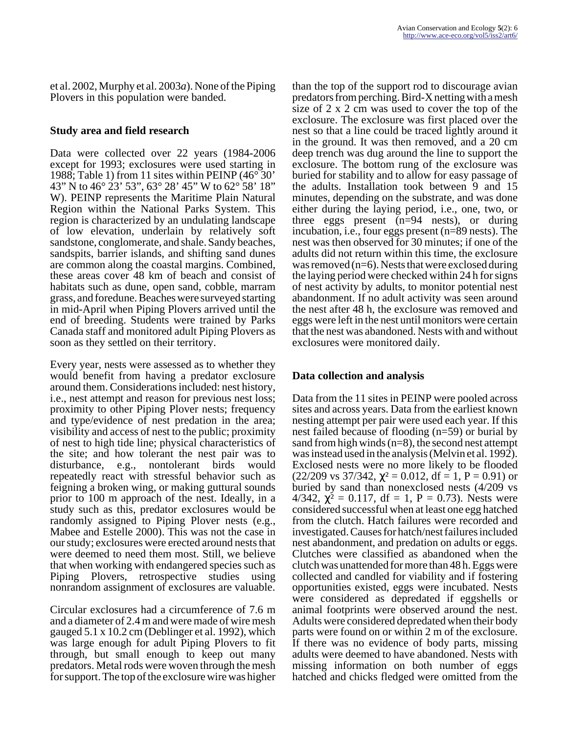et al. 2002, Murphy et al. 2003*a*). None of the Piping Plovers in this population were banded.

#### **Study area and field research**

Data were collected over 22 years (1984-2006 except for 1993; exclosures were used starting in 1988; Table 1) from 11 sites within PEINP (46° 30' 43" N to 46° 23' 53", 63° 28' 45" W to 62° 58' 18" W). PEINP represents the Maritime Plain Natural Region within the National Parks System. This region is characterized by an undulating landscape of low elevation, underlain by relatively soft sandstone, conglomerate, and shale. Sandy beaches, sandspits, barrier islands, and shifting sand dunes are common along the coastal margins. Combined, these areas cover 48 km of beach and consist of habitats such as dune, open sand, cobble, marram grass, and foredune. Beaches were surveyed starting in mid-April when Piping Plovers arrived until the end of breeding. Students were trained by Parks Canada staff and monitored adult Piping Plovers as soon as they settled on their territory.

Every year, nests were assessed as to whether they would benefit from having a predator exclosure around them. Considerations included: nest history, i.e., nest attempt and reason for previous nest loss; proximity to other Piping Plover nests; frequency and type/evidence of nest predation in the area; visibility and access of nest to the public; proximity of nest to high tide line; physical characteristics of the site; and how tolerant the nest pair was to disturbance, e.g., nontolerant birds would repeatedly react with stressful behavior such as feigning a broken wing, or making guttural sounds prior to 100 m approach of the nest. Ideally, in a study such as this, predator exclosures would be randomly assigned to Piping Plover nests (e.g., Mabee and Estelle 2000). This was not the case in our study; exclosures were erected around nests that were deemed to need them most. Still, we believe that when working with endangered species such as Piping Plovers, retrospective studies using nonrandom assignment of exclosures are valuable.

Circular exclosures had a circumference of 7.6 m and a diameter of 2.4 m and were made of wire mesh gauged 5.1 x 10.2 cm (Deblinger et al. 1992), which was large enough for adult Piping Plovers to fit through, but small enough to keep out many predators. Metal rods were woven through the mesh for support. The top of the exclosure wire was higher

than the top of the support rod to discourage avian predators from perching. Bird-X netting with a mesh size of 2 x 2 cm was used to cover the top of the exclosure. The exclosure was first placed over the nest so that a line could be traced lightly around it in the ground. It was then removed, and a 20 cm deep trench was dug around the line to support the exclosure. The bottom rung of the exclosure was buried for stability and to allow for easy passage of the adults. Installation took between 9 and 15 minutes, depending on the substrate, and was done either during the laying period, i.e., one, two, or three eggs present (n=94 nests), or during incubation, i.e., four eggs present (n=89 nests). The nest was then observed for 30 minutes; if one of the adults did not return within this time, the exclosure was removed  $(n=6)$ . Nests that were exclosed during the laying period were checked within 24 h for signs of nest activity by adults, to monitor potential nest abandonment. If no adult activity was seen around the nest after 48 h, the exclosure was removed and eggs were left in the nest until monitors were certain that the nest was abandoned. Nests with and without exclosures were monitored daily.

### **Data collection and analysis**

Data from the 11 sites in PEINP were pooled across sites and across years. Data from the earliest known nesting attempt per pair were used each year. If this nest failed because of flooding (n=59) or burial by sand from high winds  $(n=8)$ , the second nest attempt was instead used in the analysis (Melvin et al. 1992). Exclosed nests were no more likely to be flooded  $(22/209 \text{ vs } 37/342, \chi^2 = 0.012, df = 1, P = 0.91)$  or buried by sand than nonexclosed nests (4/209 vs 4/342,  $\chi^2 = 0.117$ , df = 1, P = 0.73). Nests were considered successful when at least one egg hatched from the clutch. Hatch failures were recorded and investigated. Causes for hatch/nest failures included nest abandonment, and predation on adults or eggs. Clutches were classified as abandoned when the clutch was unattended for more than 48 h. Eggs were collected and candled for viability and if fostering opportunities existed, eggs were incubated. Nests were considered as depredated if eggshells or animal footprints were observed around the nest. Adults were considered depredated when their body parts were found on or within 2 m of the exclosure. If there was no evidence of body parts, missing adults were deemed to have abandoned. Nests with missing information on both number of eggs hatched and chicks fledged were omitted from the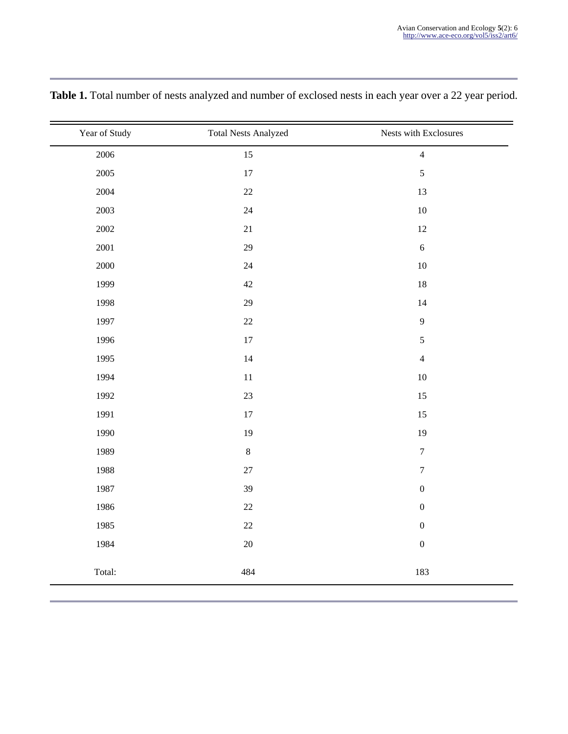| Year of Study | <b>Total Nests Analyzed</b> | Nests with Exclosures |  |
|---------------|-----------------------------|-----------------------|--|
| 2006          | 15                          | $\overline{4}$        |  |
| 2005          | 17                          | 5                     |  |
| 2004          | $22\,$                      | 13                    |  |
| 2003          | $24\,$                      | $10\,$                |  |
| 2002          | $21\,$                      | 12                    |  |
| 2001          | 29                          | $\sqrt{6}$            |  |
| 2000          | $24\,$                      | $10\,$                |  |
| 1999          | $42\,$                      | 18                    |  |
| 1998          | 29                          | 14                    |  |
| 1997          | $22\,$                      | $\overline{9}$        |  |
| 1996          | $17\,$                      | $\mathfrak s$         |  |
| 1995          | 14                          | $\overline{4}$        |  |
| 1994          | $11\,$                      | $10\,$                |  |
| 1992          | 23                          | 15                    |  |
| 1991          | 17                          | 15                    |  |
| 1990          | 19                          | 19                    |  |
| 1989          | $\,8\,$                     | $\boldsymbol{7}$      |  |
| 1988          | $27\,$                      | $\boldsymbol{7}$      |  |
| 1987          | 39                          | $\boldsymbol{0}$      |  |
| 1986          | $22\,$                      | $\boldsymbol{0}$      |  |
| 1985          | $22\,$                      | $\boldsymbol{0}$      |  |
| 1984          | $20\,$                      | $\boldsymbol{0}$      |  |
| Total:        | 484                         | 183                   |  |

**Table 1.** Total number of nests analyzed and number of exclosed nests in each year over a 22 year period.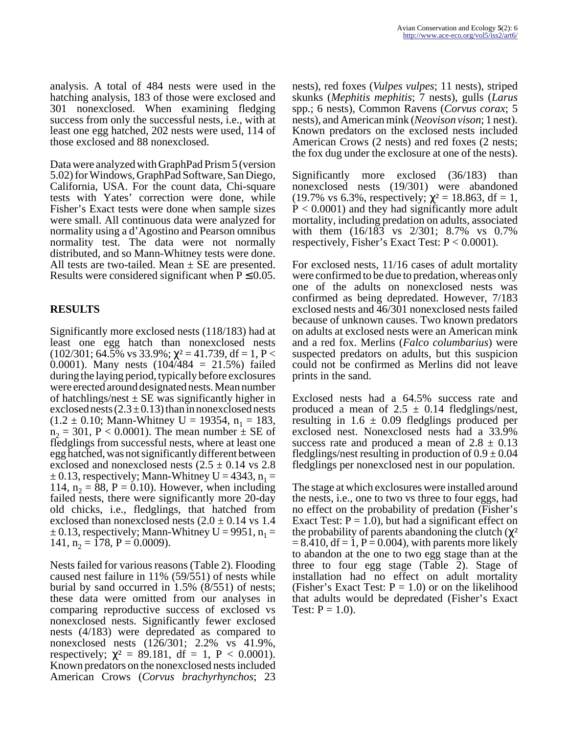analysis. A total of 484 nests were used in the hatching analysis, 183 of those were exclosed and 301 nonexclosed. When examining fledging success from only the successful nests, i.e., with at least one egg hatched, 202 nests were used, 114 of those exclosed and 88 nonexclosed.

Data were analyzed with GraphPad Prism 5 (version 5.02) for Windows, GraphPad Software, San Diego, California, USA. For the count data, Chi-square tests with Yates' correction were done, while Fisher's Exact tests were done when sample sizes were small. All continuous data were analyzed for normality using a d'Agostino and Pearson omnibus normality test. The data were not normally distributed, and so Mann-Whitney tests were done. All tests are two-tailed. Mean  $\pm$  SE are presented. Results were considered significant when  $P \le 0.05$ .

# **RESULTS**

Significantly more exclosed nests (118/183) had at least one egg hatch than nonexclosed nests (102/301; 64.5% vs 33.9%;  $\chi^2$  = 41.739, df = 1, P < 0.0001). Many nests (104/484 = 21.5%) failed during the laying period, typically before exclosures were erected around designated nests. Mean number of hatchlings/nest  $\pm$  SE was significantly higher in exclosed nests  $(2.3 \pm 0.13)$  than in nonexclosed nests  $(1.2 \pm 0.10; \text{ Mann-Whitney U} = 19354, n_1 = 183,$  $n_2 = 301$ , P < 0.0001). The mean number  $\pm$  SE of fledglings from successful nests, where at least one egg hatched, was not significantly different between exclosed and nonexclosed nests  $(2.5 \pm 0.14 \text{ vs } 2.8$  $\pm$  0.13, respectively; Mann-Whitney U = 4343, n<sub>1</sub> = 114,  $n_2 = 88$ ,  $P = 0.10$ ). However, when including failed nests, there were significantly more 20-day old chicks, i.e., fledglings, that hatched from exclosed than nonexclosed nests  $(2.0 \pm 0.14 \text{ vs } 1.4)$  $\pm$  0.13, respectively; Mann-Whitney U = 9951, n<sub>1</sub> = 141,  $n_2 = 178$ ,  $P = 0.0009$ ).

Nests failed for various reasons (Table 2). Flooding caused nest failure in 11% (59/551) of nests while burial by sand occurred in 1.5% (8/551) of nests; these data were omitted from our analyses in comparing reproductive success of exclosed vs nonexclosed nests. Significantly fewer exclosed nests (4/183) were depredated as compared to nonexclosed nests (126/301; 2.2% vs 41.9%, respectively;  $\chi^2 = 89.181$ , df = 1, P < 0.0001). Known predators on the nonexclosed nests included American Crows (*Corvus brachyrhynchos*; 23 nests), red foxes (*Vulpes vulpes*; 11 nests), striped skunks (*Mephitis mephitis*; 7 nests), gulls (*Larus* spp.; 6 nests), Common Ravens (*Corvus corax*; 5 nests), and American mink (*Neovison vison*; 1 nest). Known predators on the exclosed nests included American Crows (2 nests) and red foxes (2 nests; the fox dug under the exclosure at one of the nests).

Significantly more exclosed (36/183) than nonexclosed nests (19/301) were abandoned (19.7% vs 6.3%, respectively;  $\chi^2 = 18.863$ , df = 1,  $P < 0.0001$ ) and they had significantly more adult mortality, including predation on adults, associated with them (16/183 vs 2/301; 8.7% vs 0.7% respectively, Fisher's Exact Test:  $P < 0.0001$ ).

For exclosed nests, 11/16 cases of adult mortality were confirmed to be due to predation, whereas only one of the adults on nonexclosed nests was confirmed as being depredated. However, 7/183 exclosed nests and 46/301 nonexclosed nests failed because of unknown causes. Two known predators on adults at exclosed nests were an American mink and a red fox. Merlins (*Falco columbarius*) were suspected predators on adults, but this suspicion could not be confirmed as Merlins did not leave prints in the sand.

Exclosed nests had a 64.5% success rate and produced a mean of  $2.5 \pm 0.14$  fledglings/nest, resulting in  $1.6 \pm 0.09$  fledglings produced per exclosed nest. Nonexclosed nests had a 33.9% success rate and produced a mean of  $2.8 \pm 0.13$ fledglings/nest resulting in production of  $0.9 \pm 0.04$ fledglings per nonexclosed nest in our population.

The stage at which exclosures were installed around the nests, i.e., one to two vs three to four eggs, had no effect on the probability of predation (Fisher's Exact Test:  $P = 1.0$ , but had a significant effect on the probability of parents abandoning the clutch  $(\chi^2)$  $= 8.410$ , df  $= 1$ ,  $P = 0.004$ ), with parents more likely to abandon at the one to two egg stage than at the three to four egg stage (Table 2). Stage of installation had no effect on adult mortality (Fisher's Exact Test:  $P = 1.0$ ) or on the likelihood that adults would be depredated (Fisher's Exact Test:  $P = 1.0$ ).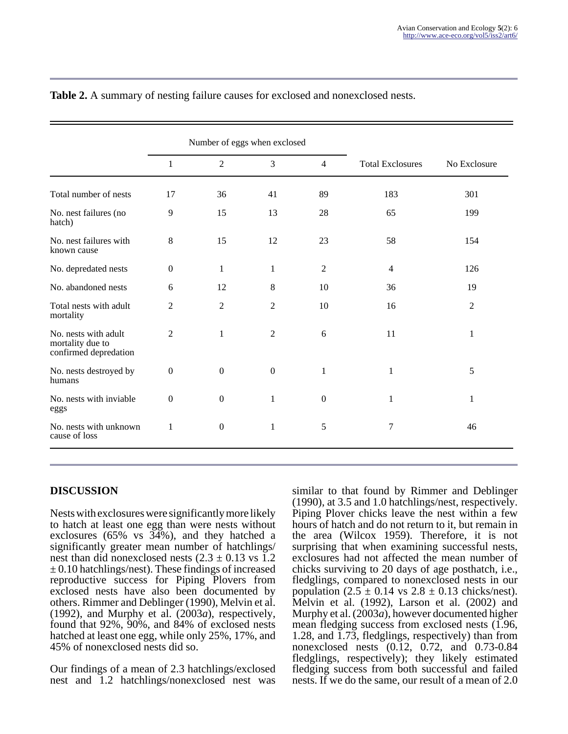|                                                                   | Number of eggs when exclosed |                  |                  |                  |                         |                |
|-------------------------------------------------------------------|------------------------------|------------------|------------------|------------------|-------------------------|----------------|
|                                                                   | 1                            | $\overline{2}$   | 3                | $\overline{4}$   | <b>Total Exclosures</b> | No Exclosure   |
| Total number of nests                                             | 17                           | 36               | 41               | 89               | 183                     | 301            |
| No. nest failures (no<br>hatch)                                   | 9                            | 15               | 13               | 28               | 65                      | 199            |
| No. nest failures with<br>known cause                             | 8                            | 15               | 12               | 23               | 58                      | 154            |
| No. depredated nests                                              | $\boldsymbol{0}$             | 1                | $\mathbf{1}$     | $\sqrt{2}$       | $\overline{4}$          | 126            |
| No. abandoned nests                                               | 6                            | 12               | 8                | 10               | 36                      | 19             |
| Total nests with adult<br>mortality                               | $\overline{2}$               | $\overline{2}$   | $\overline{c}$   | 10               | 16                      | $\overline{2}$ |
| No. nests with adult<br>mortality due to<br>confirmed depredation | $\overline{2}$               | 1                | $\overline{2}$   | 6                | 11                      | 1              |
| No. nests destroyed by<br>humans                                  | $\mathbf{0}$                 | $\boldsymbol{0}$ | $\boldsymbol{0}$ | $\mathbf{1}$     | 1                       | 5              |
| No. nests with inviable<br>eggs                                   | $\mathbf{0}$                 | $\boldsymbol{0}$ | 1                | $\boldsymbol{0}$ | 1                       | 1              |
| No. nests with unknown<br>cause of loss                           | $\mathbf{1}$                 | $\boldsymbol{0}$ | 1                | 5                | 7                       | 46             |

#### **Table 2.** A summary of nesting failure causes for exclosed and nonexclosed nests.

### **DISCUSSION**

Nests with exclosures were significantly more likely to hatch at least one egg than were nests without exclosures (65% vs 34%), and they hatched a significantly greater mean number of hatchlings/ nest than did nonexclosed nests  $(2.3 \pm 0.13 \text{ vs } 1.2)$  $\pm$  0.10 hatchlings/nest). These findings of increased reproductive success for Piping Plovers from exclosed nests have also been documented by others. Rimmer and Deblinger (1990), Melvin et al. (1992), and Murphy et al. (2003*a*), respectively, found that 92%, 90%, and 84% of exclosed nests hatched at least one egg, while only 25%, 17%, and 45% of nonexclosed nests did so.

Our findings of a mean of 2.3 hatchlings/exclosed nest and 1.2 hatchlings/nonexclosed nest was similar to that found by Rimmer and Deblinger (1990), at 3.5 and 1.0 hatchlings/nest, respectively. Piping Plover chicks leave the nest within a few hours of hatch and do not return to it, but remain in the area (Wilcox 1959). Therefore, it is not surprising that when examining successful nests, exclosures had not affected the mean number of chicks surviving to 20 days of age posthatch, i.e., fledglings, compared to nonexclosed nests in our population  $(2.5 \pm 0.14 \text{ vs } 2.8 \pm 0.13 \text{ chicks/nest}).$ Melvin et al. (1992), Larson et al. (2002) and Murphy et al. (2003*a*), however documented higher mean fledging success from exclosed nests (1.96, 1.28, and 1.73, fledglings, respectively) than from nonexclosed nests (0.12, 0.72, and 0.73-0.84 fledglings, respectively); they likely estimated fledging success from both successful and failed nests. If we do the same, our result of a mean of 2.0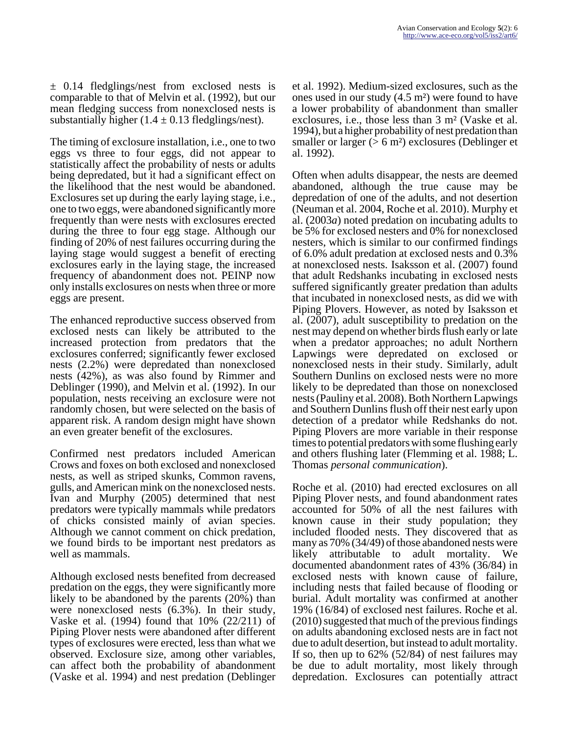$\pm$  0.14 fledglings/nest from exclosed nests is comparable to that of Melvin et al. (1992), but our mean fledging success from nonexclosed nests is substantially higher  $(1.4 \pm 0.13 \text{ fledglings/nest})$ .

The timing of exclosure installation, i.e., one to two eggs vs three to four eggs, did not appear to statistically affect the probability of nests or adults being depredated, but it had a significant effect on the likelihood that the nest would be abandoned. Exclosures set up during the early laying stage, i.e., one to two eggs, were abandoned significantly more frequently than were nests with exclosures erected during the three to four egg stage. Although our finding of 20% of nest failures occurring during the laying stage would suggest a benefit of erecting exclosures early in the laying stage, the increased frequency of abandonment does not. PEINP now only installs exclosures on nests when three or more eggs are present.

The enhanced reproductive success observed from exclosed nests can likely be attributed to the increased protection from predators that the exclosures conferred; significantly fewer exclosed nests (2.2%) were depredated than nonexclosed nests (42%), as was also found by Rimmer and Deblinger (1990), and Melvin et al. (1992). In our population, nests receiving an exclosure were not randomly chosen, but were selected on the basis of apparent risk. A random design might have shown an even greater benefit of the exclosures.

Confirmed nest predators included American Crows and foxes on both exclosed and nonexclosed nests, as well as striped skunks, Common ravens, gulls, and American mink on the nonexclosed nests. Ivan and Murphy (2005) determined that nest predators were typically mammals while predators of chicks consisted mainly of avian species. Although we cannot comment on chick predation, we found birds to be important nest predators as well as mammals.

Although exclosed nests benefited from decreased predation on the eggs, they were significantly more likely to be abandoned by the parents (20%) than were nonexclosed nests (6.3%). In their study, Vaske et al. (1994) found that 10% (22/211) of Piping Plover nests were abandoned after different types of exclosures were erected, less than what we observed. Exclosure size, among other variables, can affect both the probability of abandonment (Vaske et al. 1994) and nest predation (Deblinger

et al. 1992). Medium-sized exclosures, such as the ones used in our study (4.5 m²) were found to have a lower probability of abandonment than smaller exclosures, i.e., those less than 3 m² (Vaske et al. 1994), but a higher probability of nest predation than smaller or larger  $(> 6 \text{ m}^2)$  exclosures (Deblinger et al. 1992).

Often when adults disappear, the nests are deemed abandoned, although the true cause may be depredation of one of the adults, and not desertion (Neuman et al. 2004, Roche et al. 2010). Murphy et al. (2003*a*) noted predation on incubating adults to be 5% for exclosed nesters and 0% for nonexclosed nesters, which is similar to our confirmed findings of 6.0% adult predation at exclosed nests and 0.3% at nonexclosed nests. Isaksson et al. (2007) found that adult Redshanks incubating in exclosed nests suffered significantly greater predation than adults that incubated in nonexclosed nests, as did we with Piping Plovers. However, as noted by Isaksson et al. (2007), adult susceptibility to predation on the nest may depend on whether birds flush early or late when a predator approaches; no adult Northern Lapwings were depredated on exclosed or nonexclosed nests in their study. Similarly, adult Southern Dunlins on exclosed nests were no more likely to be depredated than those on nonexclosed nests (Pauliny et al. 2008). Both Northern Lapwings and Southern Dunlins flush off their nest early upon detection of a predator while Redshanks do not. Piping Plovers are more variable in their response times to potential predators with some flushing early and others flushing later (Flemming et al. 1988; L. Thomas *personal communication*).

Roche et al. (2010) had erected exclosures on all Piping Plover nests, and found abandonment rates accounted for 50% of all the nest failures with known cause in their study population; they included flooded nests. They discovered that as many as 70% (34/49) of those abandoned nests were likely attributable to adult mortality. We documented abandonment rates of 43% (36/84) in exclosed nests with known cause of failure, including nests that failed because of flooding or burial. Adult mortality was confirmed at another 19% (16/84) of exclosed nest failures. Roche et al. (2010) suggested that much of the previous findings on adults abandoning exclosed nests are in fact not due to adult desertion, but instead to adult mortality. If so, then up to 62% (52/84) of nest failures may be due to adult mortality, most likely through depredation. Exclosures can potentially attract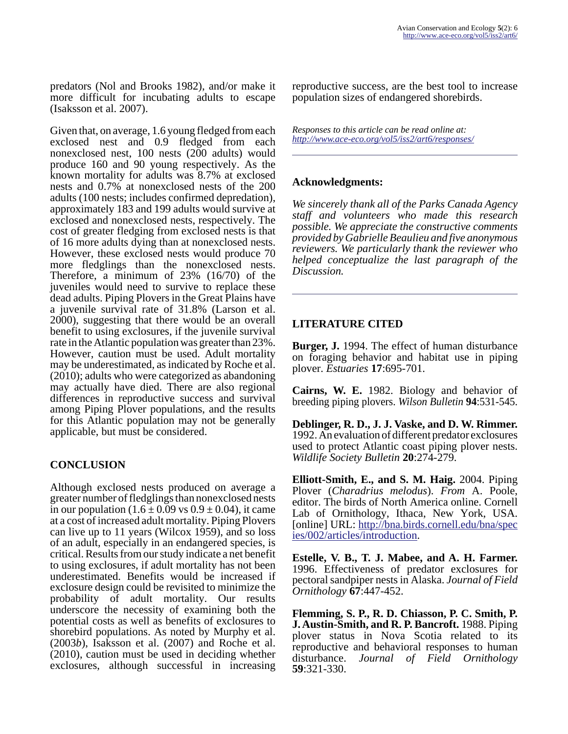predators (Nol and Brooks 1982), and/or make it more difficult for incubating adults to escape (Isaksson et al. 2007).

Given that, on average, 1.6 young fledged from each exclosed nest and 0.9 fledged from each nonexclosed nest, 100 nests (200 adults) would produce 160 and 90 young respectively. As the known mortality for adults was 8.7% at exclosed nests and 0.7% at nonexclosed nests of the 200 adults (100 nests; includes confirmed depredation), approximately 183 and 199 adults would survive at exclosed and nonexclosed nests, respectively. The cost of greater fledging from exclosed nests is that of 16 more adults dying than at nonexclosed nests. However, these exclosed nests would produce 70 more fledglings than the nonexclosed nests. Therefore, a minimum of 23% (16/70) of the juveniles would need to survive to replace these dead adults. Piping Plovers in the Great Plains have a juvenile survival rate of 31.8% (Larson et al. 2000), suggesting that there would be an overall benefit to using exclosures, if the juvenile survival rate in the Atlantic population was greater than 23%. However, caution must be used. Adult mortality may be underestimated, as indicated by Roche et al. (2010); adults who were categorized as abandoning may actually have died. There are also regional differences in reproductive success and survival among Piping Plover populations, and the results for this Atlantic population may not be generally applicable, but must be considered.

# **CONCLUSION**

Although exclosed nests produced on average a greater number of fledglings than nonexclosed nests in our population  $(1.6 \pm 0.09 \text{ vs } 0.9 \pm 0.04)$ , it came at a cost of increased adult mortality. Piping Plovers can live up to 11 years (Wilcox 1959), and so loss of an adult, especially in an endangered species, is critical. Results from our study indicate a net benefit to using exclosures, if adult mortality has not been underestimated. Benefits would be increased if exclosure design could be revisited to minimize the probability of adult mortality. Our results underscore the necessity of examining both the potential costs as well as benefits of exclosures to shorebird populations. As noted by Murphy et al. (2003*b*), Isaksson et al. (2007) and Roche et al. (2010), caution must be used in deciding whether exclosures, although successful in increasing

reproductive success, are the best tool to increase population sizes of endangered shorebirds.

*Responses to this article can be read online at: <http://www.ace-eco.org/vol5/iss2/art6/responses/>*

# **Acknowledgments:**

*We sincerely thank all of the Parks Canada Agency staff and volunteers who made this research possible. We appreciate the constructive comments provided by Gabrielle Beaulieu and five anonymous reviewers. We particularly thank the reviewer who helped conceptualize the last paragraph of the Discussion.*

# **LITERATURE CITED**

**Burger, J.** 1994. The effect of human disturbance on foraging behavior and habitat use in piping plover. *Estuaries* **17**:695-701.

**Cairns, W. E.** 1982. Biology and behavior of breeding piping plovers. *Wilson Bulletin* **94**:531-545.

**Deblinger, R. D., J. J. Vaske, and D. W. Rimmer.** 1992. An evaluation of different predator exclosures used to protect Atlantic coast piping plover nests. *Wildlife Society Bulletin* **20**:274-279.

**Elliott-Smith, E., and S. M. Haig.** 2004. Piping Plover (*Charadrius melodus*). *From* A. Poole, editor. The birds of North America online. Cornell Lab of Ornithology, Ithaca, New York, USA. [online] URL: [http://bna.birds.cornell.edu/bna/spec](http://bna.birds.cornell.edu/bna/species/002/articles/introduction) [ies/002/articles/introduction.](http://bna.birds.cornell.edu/bna/species/002/articles/introduction)

**Estelle, V. B., T. J. Mabee, and A. H. Farmer.** 1996. Effectiveness of predator exclosures for pectoral sandpiper nests in Alaska. *Journal of Field Ornithology* **67**:447-452.

**Flemming, S. P., R. D. Chiasson, P. C. Smith, P. J. Austin-Smith, and R. P. Bancroft.** 1988. Piping plover status in Nova Scotia related to its reproductive and behavioral responses to human disturbance. *Journal of Field Ornithology* **59**:321-330.